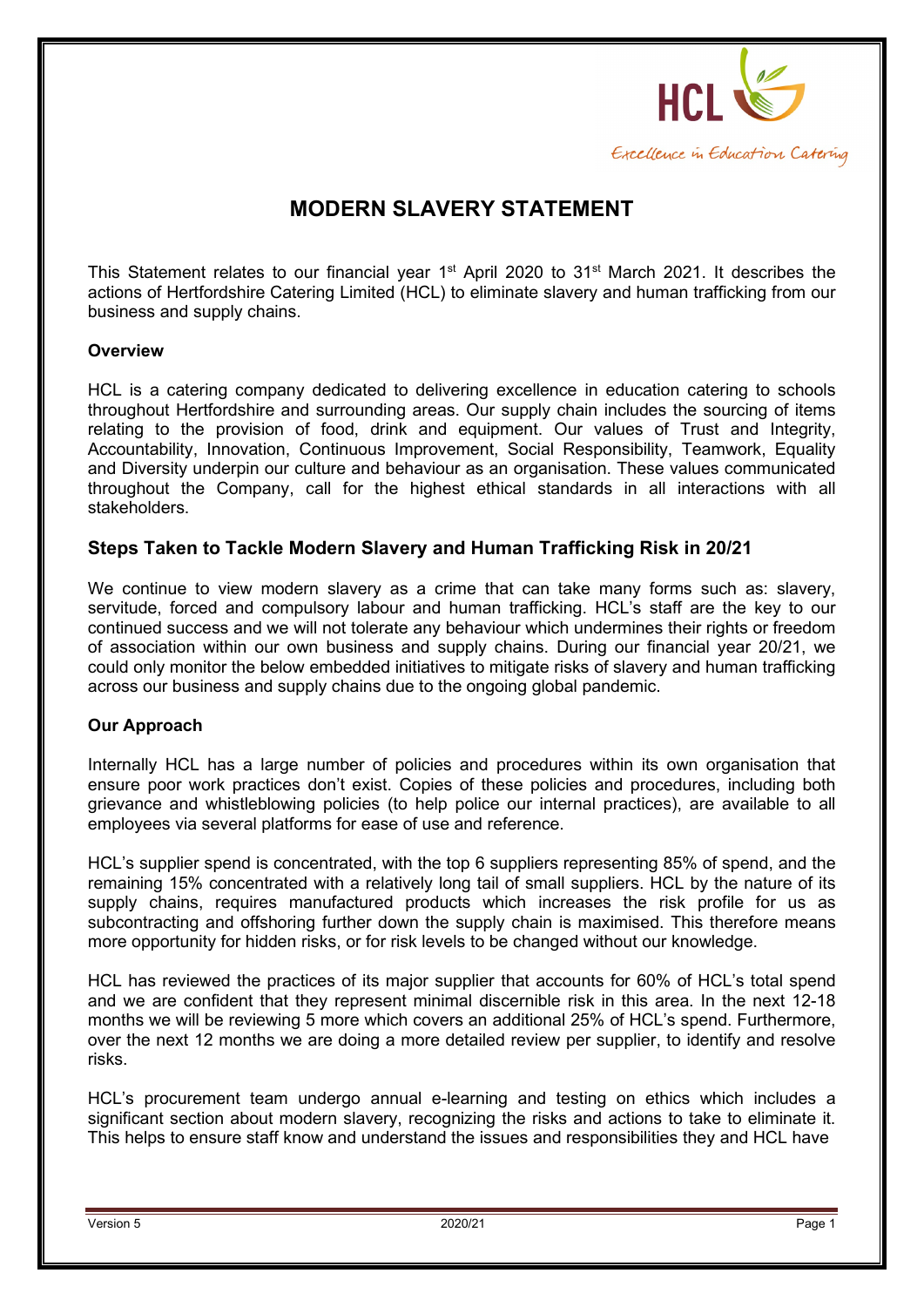

# **MODERN SLAVERY STATEMENT**

This Statement relates to our financial year 1<sup>st</sup> April 2020 to 31<sup>st</sup> March 2021. It describes the actions of Hertfordshire Catering Limited (HCL) to eliminate slavery and human trafficking from our business and supply chains.

#### **Overview**

HCL is a catering company dedicated to delivering excellence in education catering to schools throughout Hertfordshire and surrounding areas. Our supply chain includes the sourcing of items relating to the provision of food, drink and equipment. Our values of Trust and Integrity, Accountability, Innovation, Continuous Improvement, Social Responsibility, Teamwork, Equality and Diversity underpin our culture and behaviour as an organisation. These values communicated throughout the Company, call for the highest ethical standards in all interactions with all stakeholders.

#### **Steps Taken to Tackle Modern Slavery and Human Trafficking Risk in 20/21**

We continue to view modern slavery as a crime that can take many forms such as: slavery, servitude, forced and compulsory labour and human trafficking. HCL's staff are the key to our continued success and we will not tolerate any behaviour which undermines their rights or freedom of association within our own business and supply chains. During our financial year 20/21, we could only monitor the below embedded initiatives to mitigate risks of slavery and human trafficking across our business and supply chains due to the ongoing global pandemic.

#### **Our Approach**

Internally HCL has a large number of policies and procedures within its own organisation that ensure poor work practices don't exist. Copies of these policies and procedures, including both grievance and whistleblowing policies (to help police our internal practices), are available to all employees via several platforms for ease of use and reference.

HCL's supplier spend is concentrated, with the top 6 suppliers representing 85% of spend, and the remaining 15% concentrated with a relatively long tail of small suppliers. HCL by the nature of its supply chains, requires manufactured products which increases the risk profile for us as subcontracting and offshoring further down the supply chain is maximised. This therefore means more opportunity for hidden risks, or for risk levels to be changed without our knowledge.

HCL has reviewed the practices of its major supplier that accounts for 60% of HCL's total spend and we are confident that they represent minimal discernible risk in this area. In the next 12-18 months we will be reviewing 5 more which covers an additional 25% of HCL's spend. Furthermore, over the next 12 months we are doing a more detailed review per supplier, to identify and resolve risks.

HCL's procurement team undergo annual e-learning and testing on ethics which includes a significant section about modern slavery, recognizing the risks and actions to take to eliminate it. This helps to ensure staff know and understand the issues and responsibilities they and HCL have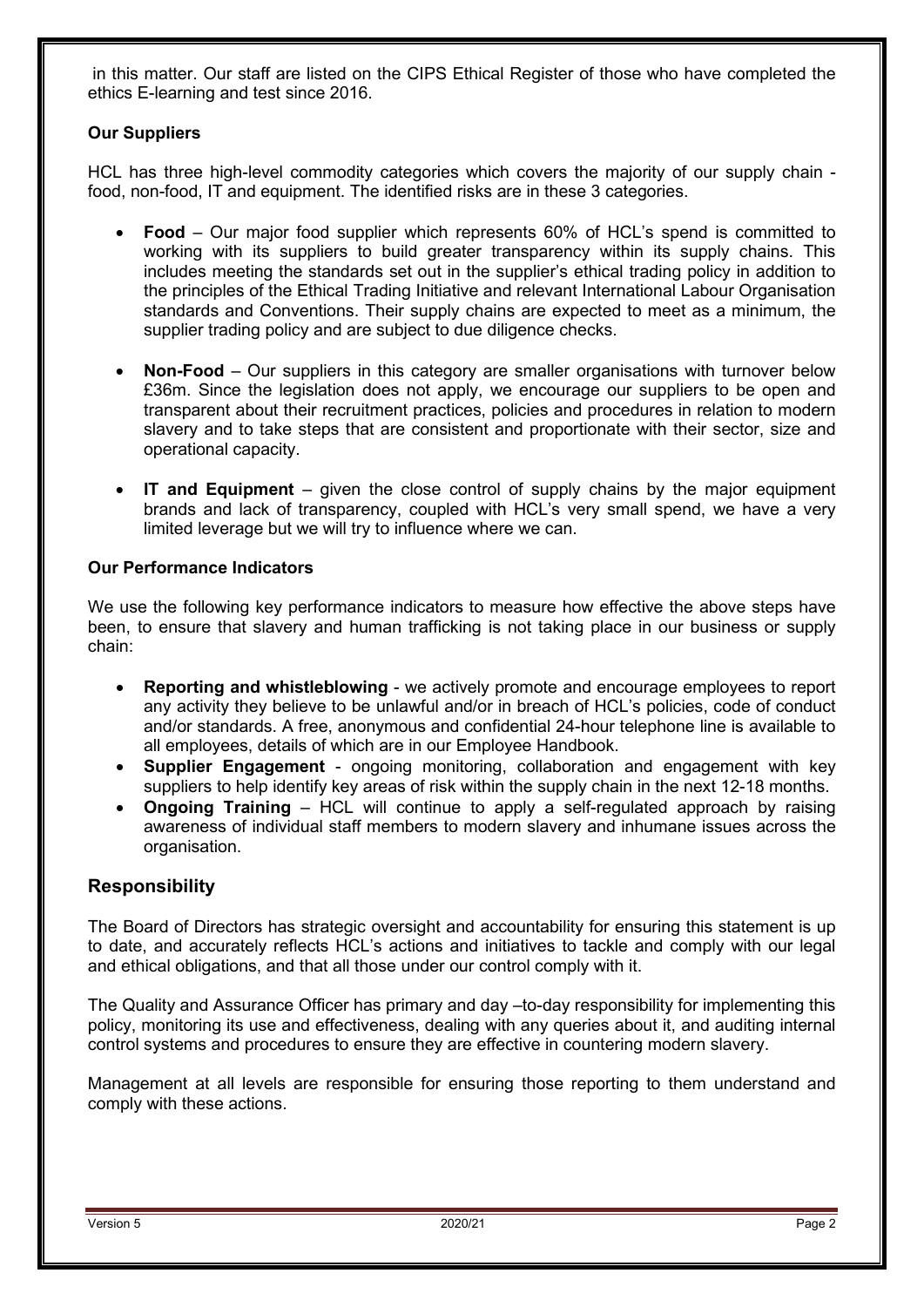in this matter. Our staff are listed on the CIPS Ethical Register of those who have completed the ethics E-learning and test since 2016.

#### **Our Suppliers**

HCL has three high-level commodity categories which covers the majority of our supply chain food, non-food, IT and equipment. The identified risks are in these 3 categories.

- **Food**  Our major food supplier which represents 60% of HCL's spend is committed to working with its suppliers to build greater transparency within its supply chains. This includes meeting the standards set out in the supplier's ethical trading policy in addition to the principles of the Ethical Trading Initiative and relevant International Labour Organisation standards and Conventions. Their supply chains are expected to meet as a minimum, the supplier trading policy and are subject to due diligence checks.
- **Non-Food**  Our suppliers in this category are smaller organisations with turnover below £36m. Since the legislation does not apply, we encourage our suppliers to be open and transparent about their recruitment practices, policies and procedures in relation to modern slavery and to take steps that are consistent and proportionate with their sector, size and operational capacity.
- **IT and Equipment**  given the close control of supply chains by the major equipment brands and lack of transparency, coupled with HCL's very small spend, we have a very limited leverage but we will try to influence where we can.

#### **Our Performance Indicators**

We use the following key performance indicators to measure how effective the above steps have been, to ensure that slavery and human trafficking is not taking place in our business or supply chain:

- **Reporting and whistleblowing** we actively promote and encourage employees to report any activity they believe to be unlawful and/or in breach of HCL's policies, code of conduct and/or standards. A free, anonymous and confidential 24-hour telephone line is available to all employees, details of which are in our Employee Handbook.
- **Supplier Engagement** ongoing monitoring, collaboration and engagement with key suppliers to help identify key areas of risk within the supply chain in the next 12-18 months.
- **Ongoing Training** HCL will continue to apply a self-regulated approach by raising awareness of individual staff members to modern slavery and inhumane issues across the organisation.

### **Responsibility**

The Board of Directors has strategic oversight and accountability for ensuring this statement is up to date, and accurately reflects HCL's actions and initiatives to tackle and comply with our legal and ethical obligations, and that all those under our control comply with it.

The Quality and Assurance Officer has primary and day –to-day responsibility for implementing this policy, monitoring its use and effectiveness, dealing with any queries about it, and auditing internal control systems and procedures to ensure they are effective in countering modern slavery.

Management at all levels are responsible for ensuring those reporting to them understand and comply with these actions.